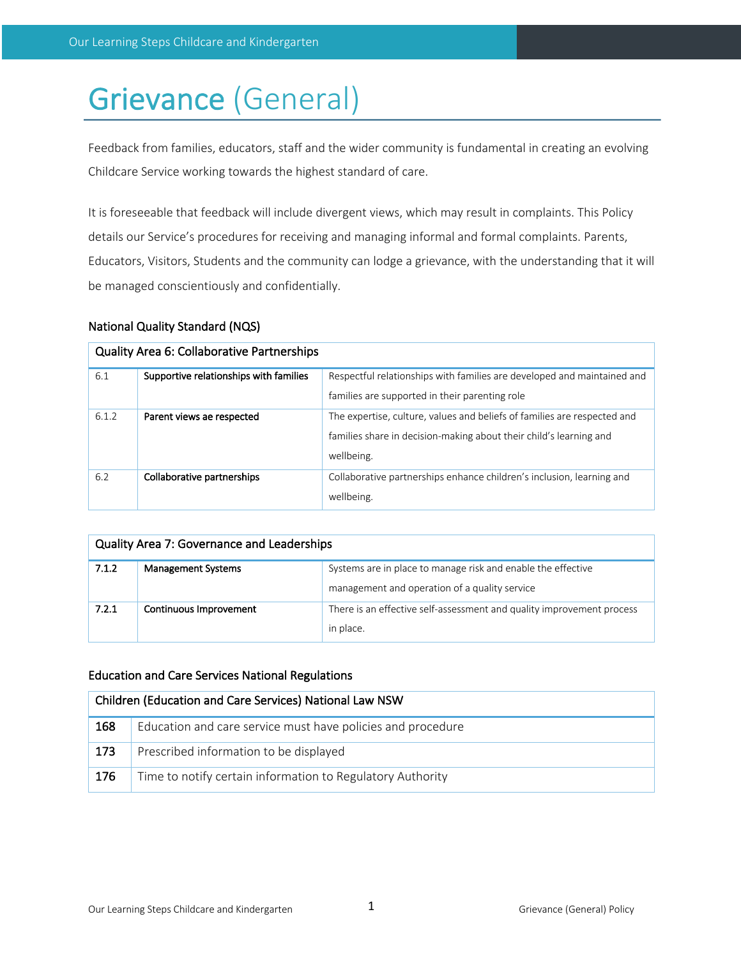# Grievance (General)

Feedback from families, educators, staff and the wider community is fundamental in creating an evolving Childcare Service working towards the highest standard of care.

It is foreseeable that feedback will include divergent views, which may result in complaints. This Policy details our Service's procedures for receiving and managing informal and formal complaints. Parents, Educators, Visitors, Students and the community can lodge a grievance, with the understanding that it will be managed conscientiously and confidentially.

# National Quality Standard (NQS)

| <b>Quality Area 6: Collaborative Partnerships</b> |                                        |                                                                          |  |  |
|---------------------------------------------------|----------------------------------------|--------------------------------------------------------------------------|--|--|
| 6.1                                               | Supportive relationships with families | Respectful relationships with families are developed and maintained and  |  |  |
|                                                   |                                        | families are supported in their parenting role                           |  |  |
| 6.1.2                                             | Parent views ae respected              | The expertise, culture, values and beliefs of families are respected and |  |  |
|                                                   |                                        | families share in decision-making about their child's learning and       |  |  |
|                                                   |                                        | wellbeing.                                                               |  |  |
| 6.2                                               | Collaborative partnerships             | Collaborative partnerships enhance children's inclusion, learning and    |  |  |
|                                                   |                                        | wellbeing.                                                               |  |  |

| Quality Area 7: Governance and Leaderships |                           |                                                                                                               |  |  |
|--------------------------------------------|---------------------------|---------------------------------------------------------------------------------------------------------------|--|--|
| 7.1.2                                      | <b>Management Systems</b> | Systems are in place to manage risk and enable the effective<br>management and operation of a quality service |  |  |
| 7.2.1                                      | Continuous Improvement    | There is an effective self-assessment and quality improvement process<br>in place.                            |  |  |

# Education and Care Services National Regulations

| Children (Education and Care Services) National Law NSW |                                                             |  |  |
|---------------------------------------------------------|-------------------------------------------------------------|--|--|
| 168                                                     | Education and care service must have policies and procedure |  |  |
| 173                                                     | Prescribed information to be displayed                      |  |  |
| 176                                                     | Time to notify certain information to Regulatory Authority  |  |  |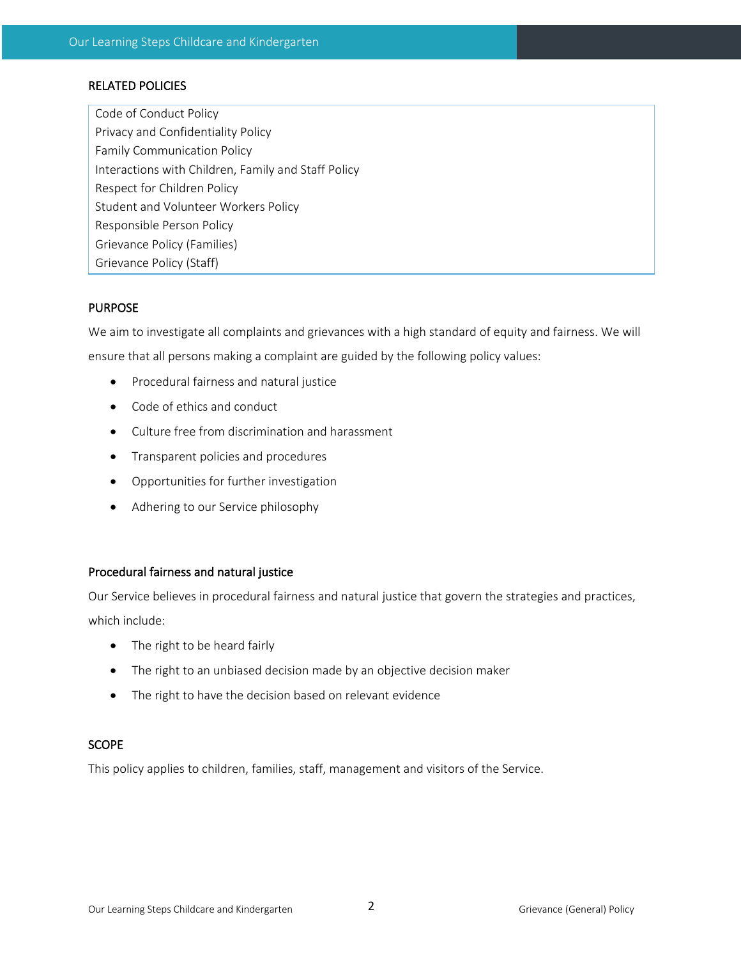# RELATED POLICIES

Code of Conduct Policy Privacy and Confidentiality Policy Family Communication Policy Interactions with Children, Family and Staff Policy Respect for Children Policy Student and Volunteer Workers Policy Responsible Person Policy Grievance Policy (Families) Grievance Policy (Staff)

# PURPOSE

We aim to investigate all complaints and grievances with a high standard of equity and fairness. We will ensure that all persons making a complaint are guided by the following policy values:

- Procedural fairness and natural justice
- Code of ethics and conduct
- Culture free from discrimination and harassment
- Transparent policies and procedures
- Opportunities for further investigation
- Adhering to our Service philosophy

## Procedural fairness and natural justice

Our Service believes in procedural fairness and natural justice that govern the strategies and practices, which include:

- The right to be heard fairly
- The right to an unbiased decision made by an objective decision maker
- The right to have the decision based on relevant evidence

# SCOPE

This policy applies to children, families, staff, management and visitors of the Service.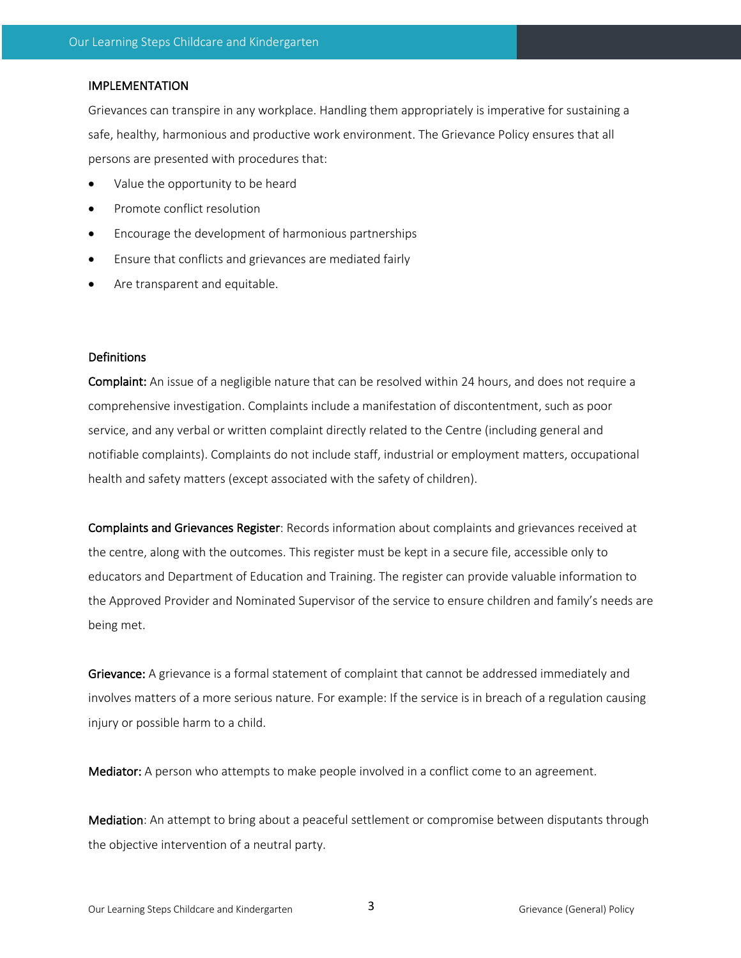### IMPLEMENTATION

Grievances can transpire in any workplace. Handling them appropriately is imperative for sustaining a safe, healthy, harmonious and productive work environment. The Grievance Policy ensures that all persons are presented with procedures that:

- Value the opportunity to be heard
- Promote conflict resolution
- Encourage the development of harmonious partnerships
- Ensure that conflicts and grievances are mediated fairly
- Are transparent and equitable.

#### Definitions

Complaint: An issue of a negligible nature that can be resolved within 24 hours, and does not require a comprehensive investigation. Complaints include a manifestation of discontentment, such as poor service, and any verbal or written complaint directly related to the Centre (including general and notifiable complaints). Complaints do not include staff, industrial or employment matters, occupational health and safety matters (except associated with the safety of children).

Complaints and Grievances Register: Records information about complaints and grievances received at the centre, along with the outcomes. This register must be kept in a secure file, accessible only to educators and Department of Education and Training. The register can provide valuable information to the Approved Provider and Nominated Supervisor of the service to ensure children and family's needs are being met.

Grievance: A grievance is a formal statement of complaint that cannot be addressed immediately and involves matters of a more serious nature. For example: If the service is in breach of a regulation causing injury or possible harm to a child.

Mediator: A person who attempts to make people involved in a conflict come to an agreement.

Mediation: An attempt to bring about a peaceful settlement or compromise between disputants through the objective intervention of a neutral party.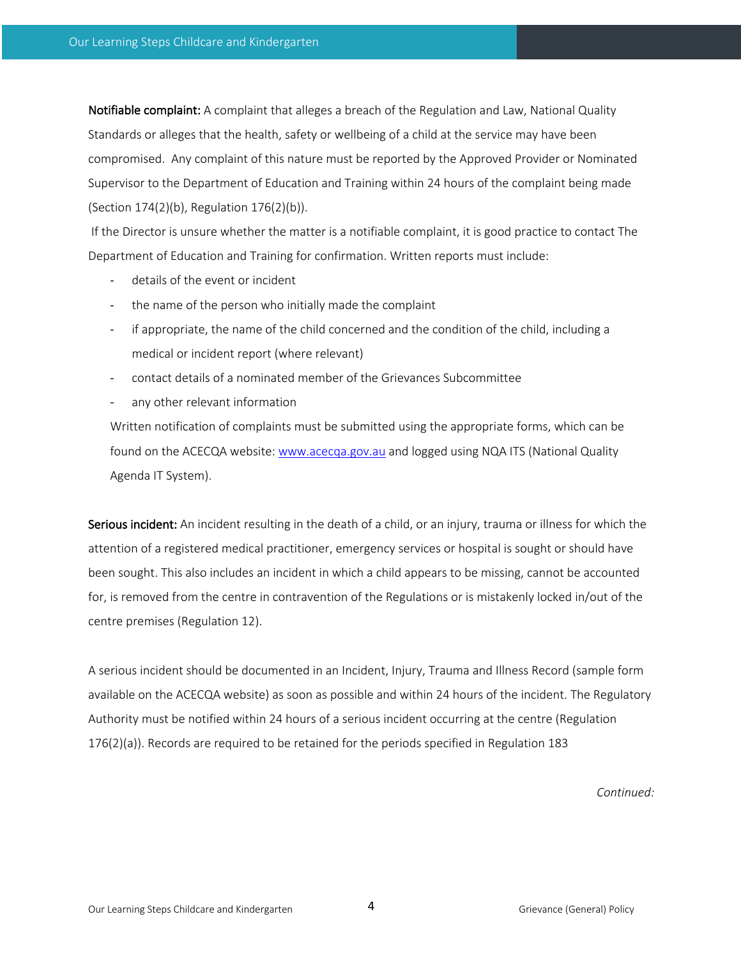Notifiable complaint: A complaint that alleges a breach of the Regulation and Law, National Quality Standards or alleges that the health, safety or wellbeing of a child at the service may have been compromised. Any complaint of this nature must be reported by the Approved Provider or Nominated Supervisor to the Department of Education and Training within 24 hours of the complaint being made (Section 174(2)(b), Regulation 176(2)(b)).

If the Director is unsure whether the matter is a notifiable complaint, it is good practice to contact The Department of Education and Training for confirmation. Written reports must include:

- details of the event or incident
- the name of the person who initially made the complaint
- if appropriate, the name of the child concerned and the condition of the child, including a medical or incident report (where relevant)
- contact details of a nominated member of the Grievances Subcommittee
- any other relevant information

Written notification of complaints must be submitted using the appropriate forms, which can be found on the ACECQA website: www.acecqa.gov.au and logged using NQA ITS (National Quality Agenda IT System).

Serious incident: An incident resulting in the death of a child, or an injury, trauma or illness for which the attention of a registered medical practitioner, emergency services or hospital is sought or should have been sought. This also includes an incident in which a child appears to be missing, cannot be accounted for, is removed from the centre in contravention of the Regulations or is mistakenly locked in/out of the centre premises (Regulation 12).

A serious incident should be documented in an Incident, Injury, Trauma and Illness Record (sample form available on the ACECQA website) as soon as possible and within 24 hours of the incident. The Regulatory Authority must be notified within 24 hours of a serious incident occurring at the centre (Regulation 176(2)(a)). Records are required to be retained for the periods specified in Regulation 183

*Continued:*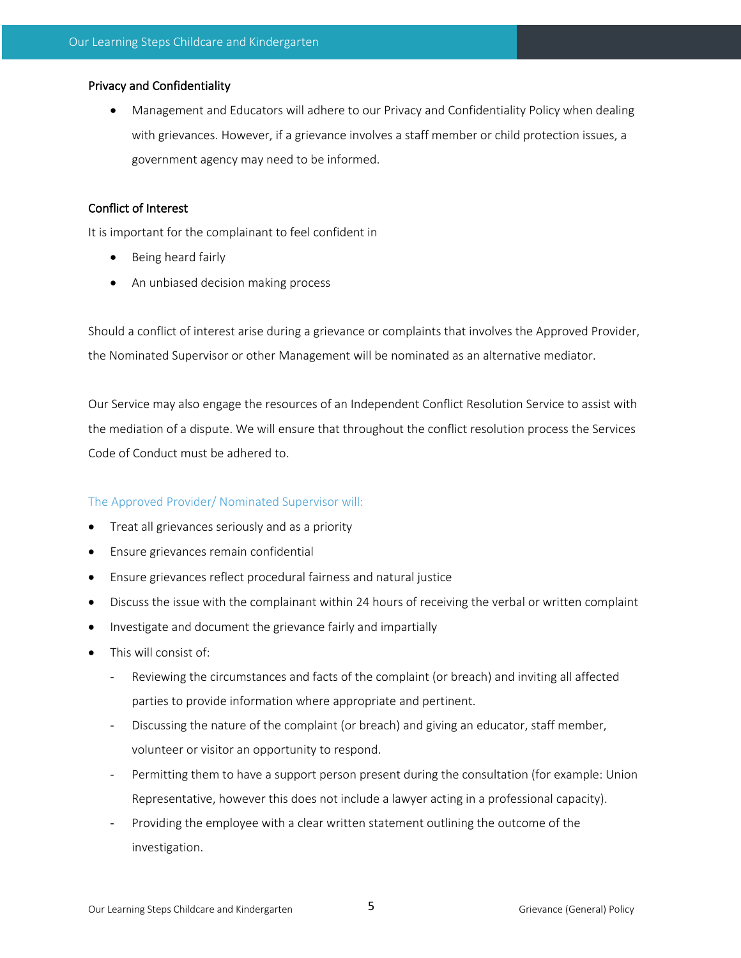### Privacy and Confidentiality

• Management and Educators will adhere to our Privacy and Confidentiality Policy when dealing with grievances. However, if a grievance involves a staff member or child protection issues, a government agency may need to be informed.

## Conflict of Interest

It is important for the complainant to feel confident in

- Being heard fairly
- An unbiased decision making process

Should a conflict of interest arise during a grievance or complaints that involves the Approved Provider, the Nominated Supervisor or other Management will be nominated as an alternative mediator.

Our Service may also engage the resources of an Independent Conflict Resolution Service to assist with the mediation of a dispute. We will ensure that throughout the conflict resolution process the Services Code of Conduct must be adhered to.

## The Approved Provider/ Nominated Supervisor will:

- Treat all grievances seriously and as a priority
- Ensure grievances remain confidential
- Ensure grievances reflect procedural fairness and natural justice
- Discuss the issue with the complainant within 24 hours of receiving the verbal or written complaint
- Investigate and document the grievance fairly and impartially
- This will consist of:
	- Reviewing the circumstances and facts of the complaint (or breach) and inviting all affected parties to provide information where appropriate and pertinent.
	- Discussing the nature of the complaint (or breach) and giving an educator, staff member, volunteer or visitor an opportunity to respond.
	- Permitting them to have a support person present during the consultation (for example: Union Representative, however this does not include a lawyer acting in a professional capacity).
	- Providing the employee with a clear written statement outlining the outcome of the investigation.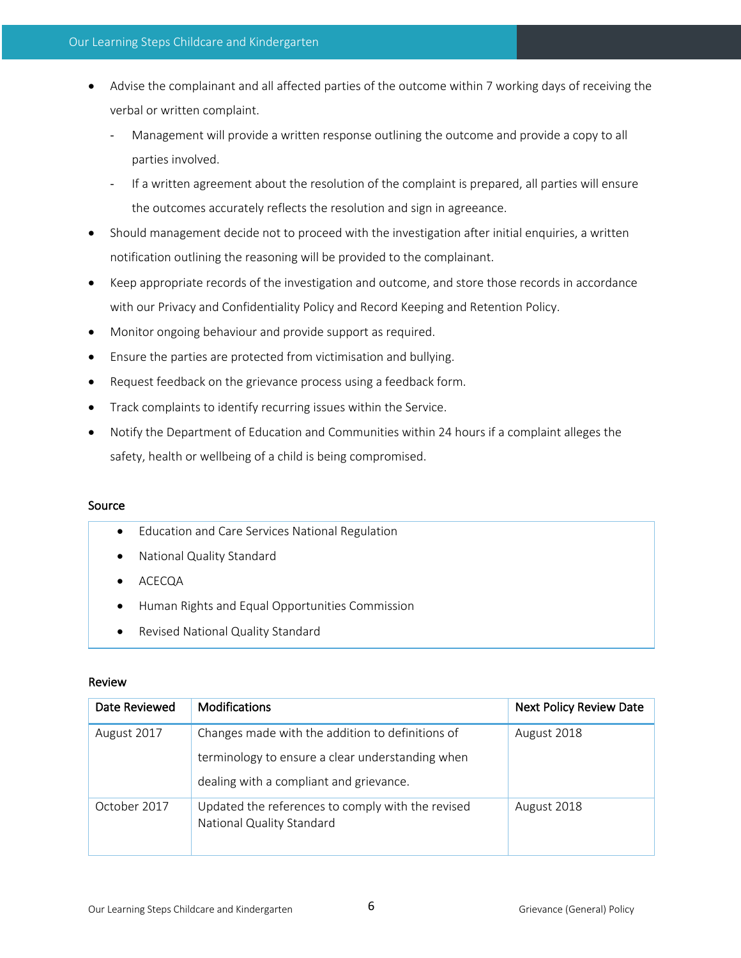- Advise the complainant and all affected parties of the outcome within 7 working days of receiving the verbal or written complaint.
	- Management will provide a written response outlining the outcome and provide a copy to all parties involved.
	- If a written agreement about the resolution of the complaint is prepared, all parties will ensure the outcomes accurately reflects the resolution and sign in agreeance.
- Should management decide not to proceed with the investigation after initial enquiries, a written notification outlining the reasoning will be provided to the complainant.
- Keep appropriate records of the investigation and outcome, and store those records in accordance with our Privacy and Confidentiality Policy and Record Keeping and Retention Policy.
- Monitor ongoing behaviour and provide support as required.
- Ensure the parties are protected from victimisation and bullying.
- Request feedback on the grievance process using a feedback form.
- Track complaints to identify recurring issues within the Service.
- Notify the Department of Education and Communities within 24 hours if a complaint alleges the safety, health or wellbeing of a child is being compromised.

## Source

- Education and Care Services National Regulation
- National Quality Standard
- ACECQA
- Human Rights and Equal Opportunities Commission
- Revised National Quality Standard

## Review

| Date Reviewed | <b>Modifications</b>                                                                                 | <b>Next Policy Review Date</b> |
|---------------|------------------------------------------------------------------------------------------------------|--------------------------------|
| August 2017   | Changes made with the addition to definitions of<br>terminology to ensure a clear understanding when | August 2018                    |
|               | dealing with a compliant and grievance.                                                              |                                |
| October 2017  | Updated the references to comply with the revised<br>National Quality Standard                       | August 2018                    |